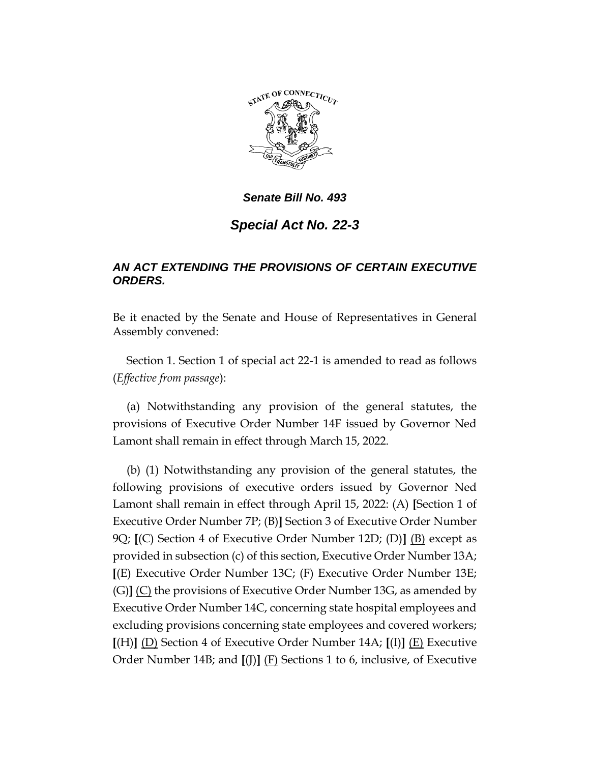

# *Senate Bill No. 493*

# *Special Act No. 22-3*

## *AN ACT EXTENDING THE PROVISIONS OF CERTAIN EXECUTIVE ORDERS.*

Be it enacted by the Senate and House of Representatives in General Assembly convened:

Section 1. Section 1 of special act 22-1 is amended to read as follows (*Effective from passage*):

(a) Notwithstanding any provision of the general statutes, the provisions of Executive Order Number 14F issued by Governor Ned Lamont shall remain in effect through March 15, 2022.

(b) (1) Notwithstanding any provision of the general statutes, the following provisions of executive orders issued by Governor Ned Lamont shall remain in effect through April 15, 2022: (A) **[**Section 1 of Executive Order Number 7P; (B)**]** Section 3 of Executive Order Number 9Q; **[**(C) Section 4 of Executive Order Number 12D; (D)**]** (B) except as provided in subsection (c) of this section, Executive Order Number 13A; **[**(E) Executive Order Number 13C; (F) Executive Order Number 13E; (G)**]** (C) the provisions of Executive Order Number 13G, as amended by Executive Order Number 14C, concerning state hospital employees and excluding provisions concerning state employees and covered workers; **[**(H)**]** (D) Section 4 of Executive Order Number 14A; **[**(I)**]** (E) Executive Order Number 14B; and **[**(J)**]** (F) Sections 1 to 6, inclusive, of Executive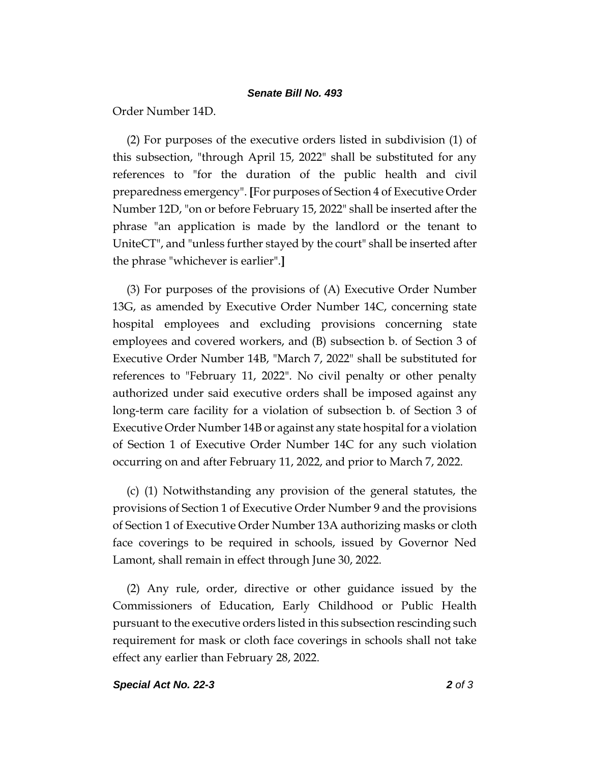#### *Senate Bill No. 493*

Order Number 14D.

(2) For purposes of the executive orders listed in subdivision (1) of this subsection, "through April 15, 2022" shall be substituted for any references to "for the duration of the public health and civil preparedness emergency". **[**For purposes of Section 4 of Executive Order Number 12D, "on or before February 15, 2022" shall be inserted after the phrase "an application is made by the landlord or the tenant to UniteCT", and "unless further stayed by the court" shall be inserted after the phrase "whichever is earlier".**]**

(3) For purposes of the provisions of (A) Executive Order Number 13G, as amended by Executive Order Number 14C, concerning state hospital employees and excluding provisions concerning state employees and covered workers, and (B) subsection b. of Section 3 of Executive Order Number 14B, "March 7, 2022" shall be substituted for references to "February 11, 2022". No civil penalty or other penalty authorized under said executive orders shall be imposed against any long-term care facility for a violation of subsection b. of Section 3 of Executive Order Number 14B or against any state hospital for a violation of Section 1 of Executive Order Number 14C for any such violation occurring on and after February 11, 2022, and prior to March 7, 2022.

(c) (1) Notwithstanding any provision of the general statutes, the provisions of Section 1 of Executive Order Number 9 and the provisions of Section 1 of Executive Order Number 13A authorizing masks or cloth face coverings to be required in schools, issued by Governor Ned Lamont, shall remain in effect through June 30, 2022.

(2) Any rule, order, directive or other guidance issued by the Commissioners of Education, Early Childhood or Public Health pursuant to the executive orders listed in this subsection rescinding such requirement for mask or cloth face coverings in schools shall not take effect any earlier than February 28, 2022.

### *Special Act No. 22-3 2 of 3*